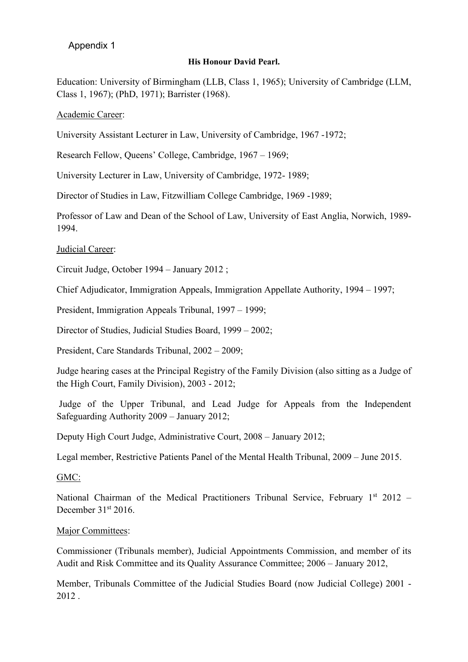# Appendix 1

## **His Honour David Pearl.**

Education: University of Birmingham (LLB, Class 1, 1965); University of Cambridge (LLM, Class 1, 1967); (PhD, 1971); Barrister (1968).

Academic Career:

University Assistant Lecturer in Law, University of Cambridge, 1967 -1972;

Research Fellow, Queens' College, Cambridge, 1967 – 1969;

University Lecturer in Law, University of Cambridge, 1972- 1989;

Director of Studies in Law, Fitzwilliam College Cambridge, 1969 -1989;

Professor of Law and Dean of the School of Law, University of East Anglia, Norwich, 1989- 1994.

### Judicial Career:

Circuit Judge, October 1994 – January 2012 ;

Chief Adjudicator, Immigration Appeals, Immigration Appellate Authority, 1994 – 1997;

President, Immigration Appeals Tribunal, 1997 – 1999;

Director of Studies, Judicial Studies Board, 1999 – 2002;

President, Care Standards Tribunal, 2002 – 2009;

Judge hearing cases at the Principal Registry of the Family Division (also sitting as a Judge of the High Court, Family Division), 2003 - 2012;

Judge of the Upper Tribunal, and Lead Judge for Appeals from the Independent Safeguarding Authority 2009 – January 2012;

Deputy High Court Judge, Administrative Court, 2008 – January 2012;

Legal member, Restrictive Patients Panel of the Mental Health Tribunal, 2009 – June 2015.

GMC:

National Chairman of the Medical Practitioners Tribunal Service, February 1st 2012 -December 31st 2016.

## Major Committees:

Commissioner (Tribunals member), Judicial Appointments Commission, and member of its Audit and Risk Committee and its Quality Assurance Committee; 2006 – January 2012,

Member, Tribunals Committee of the Judicial Studies Board (now Judicial College) 2001 - 2012 .